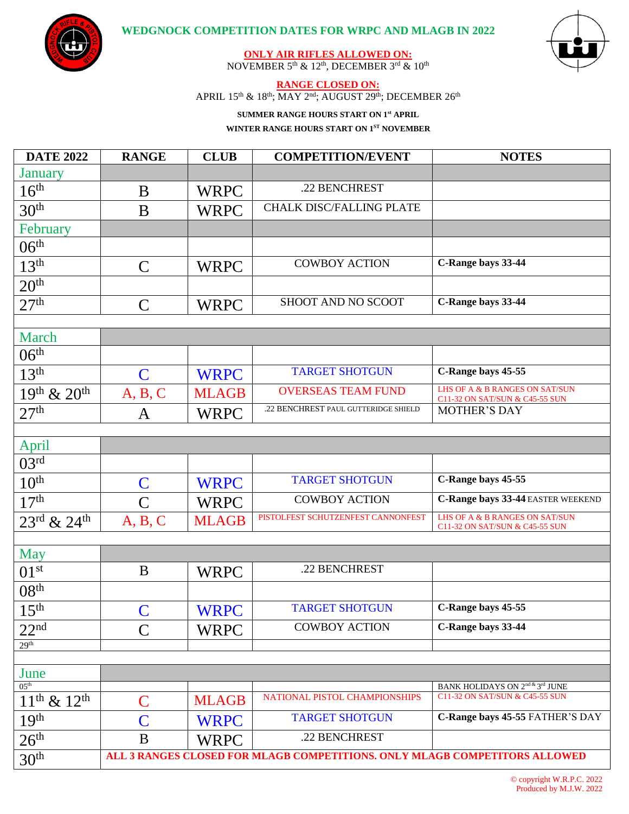



**ONLY AIR RIFLES ALLOWED ON:** NOVEMBER 5th & 12th, DECEMBER 3rd & 10th

## **RANGE CLOSED ON:**

APRIL  $15<sup>th</sup>$  &  $18<sup>th</sup>$ ; MAY  $2<sup>nd</sup>$ ; AUGUST  $29<sup>th</sup>$ ; DECEMBER  $26<sup>th</sup>$ 

## **SUMMER RANGE HOURS START ON 1st APRIL**

**WINTER RANGE HOURS START ON 1 ST NOVEMBER**

| <b>DATE 2022</b>               | <b>RANGE</b>                                                               | <b>CLUB</b>  | <b>COMPETITION/EVENT</b>             | <b>NOTES</b>                                                                        |  |
|--------------------------------|----------------------------------------------------------------------------|--------------|--------------------------------------|-------------------------------------------------------------------------------------|--|
| <b>January</b>                 |                                                                            |              |                                      |                                                                                     |  |
| 16 <sup>th</sup>               | B                                                                          | <b>WRPC</b>  | .22 BENCHREST                        |                                                                                     |  |
| 30 <sup>th</sup>               | B                                                                          | <b>WRPC</b>  | <b>CHALK DISC/FALLING PLATE</b>      |                                                                                     |  |
| February                       |                                                                            |              |                                      |                                                                                     |  |
| $06^{\overline{th}}$           |                                                                            |              |                                      |                                                                                     |  |
| 13 <sup>th</sup>               | $\mathsf{C}$                                                               | <b>WRPC</b>  | <b>COWBOY ACTION</b>                 | C-Range bays 33-44                                                                  |  |
| 20 <sup>th</sup>               |                                                                            |              |                                      |                                                                                     |  |
| 27 <sup>th</sup>               | $\overline{C}$                                                             | <b>WRPC</b>  | SHOOT AND NO SCOOT                   | C-Range bays 33-44                                                                  |  |
|                                |                                                                            |              |                                      |                                                                                     |  |
| March                          |                                                                            |              |                                      |                                                                                     |  |
| 06 <sup>th</sup>               |                                                                            |              |                                      |                                                                                     |  |
| 13 <sup>th</sup>               | $\mathbf C$                                                                | <b>WRPC</b>  | <b>TARGET SHOTGUN</b>                | C-Range bays 45-55                                                                  |  |
| $19^{th}$ & $20^{th}$          | A, B, C                                                                    | <b>MLAGB</b> | <b>OVERSEAS TEAM FUND</b>            | LHS OF A & B RANGES ON SAT/SUN<br>C11-32 ON SAT/SUN & C45-55 SUN                    |  |
| 27 <sup>th</sup>               | A                                                                          | <b>WRPC</b>  | .22 BENCHREST PAUL GUTTERIDGE SHIELD | <b>MOTHER'S DAY</b>                                                                 |  |
|                                |                                                                            |              |                                      |                                                                                     |  |
| April                          |                                                                            |              |                                      |                                                                                     |  |
| 03 <sup>rd</sup>               |                                                                            |              |                                      |                                                                                     |  |
| 10 <sup>th</sup>               | $\mathbf C$                                                                | <b>WRPC</b>  | <b>TARGET SHOTGUN</b>                | C-Range bays 45-55                                                                  |  |
| 17 <sup>th</sup>               | $\overline{C}$                                                             | <b>WRPC</b>  | <b>COWBOY ACTION</b>                 | C-Range bays 33-44 EASTER WEEKEND                                                   |  |
| $23^{\rm rd}$ & $24^{\rm th}$  | A, B, C                                                                    | <b>MLAGB</b> | PISTOLFEST SCHUTZENFEST CANNONFEST   | LHS OF A & B RANGES ON SAT/SUN<br>C11-32 ON SAT/SUN & C45-55 SUN                    |  |
|                                |                                                                            |              |                                      |                                                                                     |  |
| <b>May</b><br>01 <sup>st</sup> | B                                                                          |              | .22 BENCHREST                        |                                                                                     |  |
|                                |                                                                            | <b>WRPC</b>  |                                      |                                                                                     |  |
| 08 <sup>th</sup>               |                                                                            |              | <b>TARGET SHOTGUN</b>                | C-Range bays 45-55                                                                  |  |
| 15 <sup>th</sup>               | $\mathbf C$                                                                | <b>WRPC</b>  |                                      |                                                                                     |  |
| 22 <sup>nd</sup>               | $\overline{\mathsf{C}}$                                                    | <b>WRPC</b>  | <b>COWBOY ACTION</b>                 | C-Range bays 33-44                                                                  |  |
| 29 <sup>th</sup>               |                                                                            |              |                                      |                                                                                     |  |
| June                           |                                                                            |              |                                      |                                                                                     |  |
| 05 <sup>th</sup>               |                                                                            |              | NATIONAL PISTOL CHAMPIONSHIPS        | BANK HOLIDAYS ON $2^{\rm nd}$ & $3^{\rm rd}$ JUNE<br>C11-32 ON SAT/SUN & C45-55 SUN |  |
| $11^{th}$ & $12^{th}$          | $\mathsf C$                                                                | <b>MLAGB</b> | <b>TARGET SHOTGUN</b>                | C-Range bays 45-55 FATHER'S DAY                                                     |  |
| 19 <sup>th</sup>               | $\overline{\mathsf{C}}$                                                    | <b>WRPC</b>  |                                      |                                                                                     |  |
| 26 <sup>th</sup>               | B                                                                          | <b>WRPC</b>  | .22 BENCHREST                        |                                                                                     |  |
| 30 <sup>th</sup>               | ALL 3 RANGES CLOSED FOR MLAGB COMPETITIONS. ONLY MLAGB COMPETITORS ALLOWED |              |                                      |                                                                                     |  |